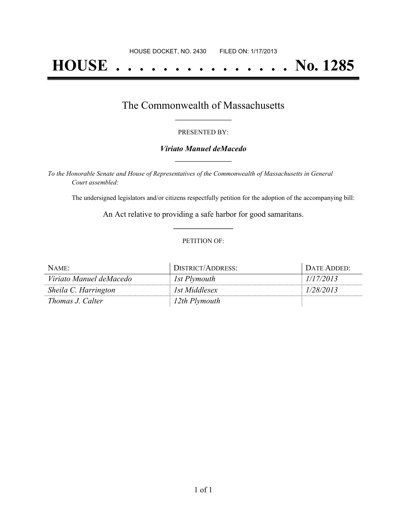# **HOUSE . . . . . . . . . . . . . . . No. 1285**

## The Commonwealth of Massachusetts **\_\_\_\_\_\_\_\_\_\_\_\_\_\_\_\_\_**

#### PRESENTED BY:

#### *Viriato Manuel deMacedo* **\_\_\_\_\_\_\_\_\_\_\_\_\_\_\_\_\_**

*To the Honorable Senate and House of Representatives of the Commonwealth of Massachusetts in General Court assembled:*

The undersigned legislators and/or citizens respectfully petition for the adoption of the accompanying bill:

An Act relative to providing a safe harbor for good samaritans. **\_\_\_\_\_\_\_\_\_\_\_\_\_\_\_**

#### PETITION OF:

| NAME:                   | DISTRICT/ADDRESS: | DATE ADDED: |
|-------------------------|-------------------|-------------|
| Viriato Manuel deMacedo | 1st Plymouth      | 1/17/2013   |
| Sheila C. Harrington    | 1st Middlesex     | 1/28/2013   |
| <i>Thomas J. Calter</i> | 12th Plymouth     |             |